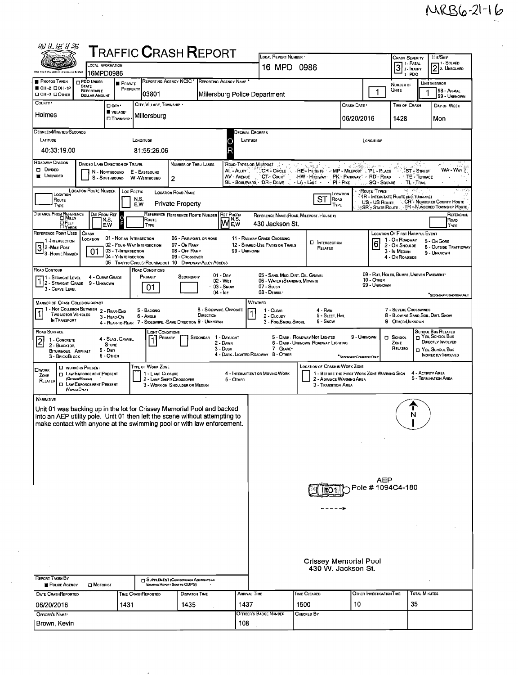$\hat{E}_{\rm{eff}}$ 

| 四丛医甘志                                                                                                                                                                                                                                                                                                                                                                                                                                |                                                                                                                                                                                                                                 |                                            | TRAFFIC <b>C</b> RASH <b>R</b> EPORT                                                      |                                                                           |                                               |                                                                                                                                                                                    | LOCAL REPORT NUMBER                                                                                                                                                                                                                                                                      |                                |                          |                            |                                                    |                      |                                               |  |
|--------------------------------------------------------------------------------------------------------------------------------------------------------------------------------------------------------------------------------------------------------------------------------------------------------------------------------------------------------------------------------------------------------------------------------------|---------------------------------------------------------------------------------------------------------------------------------------------------------------------------------------------------------------------------------|--------------------------------------------|-------------------------------------------------------------------------------------------|---------------------------------------------------------------------------|-----------------------------------------------|------------------------------------------------------------------------------------------------------------------------------------------------------------------------------------|------------------------------------------------------------------------------------------------------------------------------------------------------------------------------------------------------------------------------------------------------------------------------------------|--------------------------------|--------------------------|----------------------------|----------------------------------------------------|----------------------|-----------------------------------------------|--|
|                                                                                                                                                                                                                                                                                                                                                                                                                                      | OCAL INFORMATION                                                                                                                                                                                                                |                                            |                                                                                           |                                                                           |                                               |                                                                                                                                                                                    | 16 MPD 0986                                                                                                                                                                                                                                                                              |                                |                          |                            | Crash Severity<br>1 - FATAL<br>$3$ $\cdot$ PATAL   |                      | HIT/SKIP<br>- 1 - Solved<br>$[2]$ 2. UNSOLVED |  |
| <b>PHOTOS TAKEN</b>                                                                                                                                                                                                                                                                                                                                                                                                                  | 16MPD0986<br><b>D</b> PDO UNDER                                                                                                                                                                                                 |                                            |                                                                                           | REPORTING AGENCY NCIC * REPORTING AGENCY NAME                             |                                               |                                                                                                                                                                                    |                                                                                                                                                                                                                                                                                          |                                |                          |                            | 3-PDO                                              |                      |                                               |  |
| OH-2 DOH-1P<br>DOH-3 DOMER                                                                                                                                                                                                                                                                                                                                                                                                           | <b>STATE</b><br><b>REPORTABLE</b><br><b>DOLLAR AMOUNT</b>                                                                                                                                                                       | <b>B</b> PRIVATE<br>PROPERTY               | 03801                                                                                     |                                                                           |                                               |                                                                                                                                                                                    | Millersburg Police Department                                                                                                                                                                                                                                                            |                                |                          | 1                          | NUMBER OF<br>Units                                 |                      | UNIT IN ERROR<br>98 - ANMAL<br>99 - UNKNOWN   |  |
| COUNTY '                                                                                                                                                                                                                                                                                                                                                                                                                             | D any                                                                                                                                                                                                                           | <b>WILLAGE*</b>                            | CITY, VILLAGE, TOWNSHIP .                                                                 |                                                                           |                                               |                                                                                                                                                                                    |                                                                                                                                                                                                                                                                                          |                                | CRASH DATE *             |                            | TIME OF CRASH                                      |                      | DAY OF WEEK                                   |  |
| Holmes                                                                                                                                                                                                                                                                                                                                                                                                                               |                                                                                                                                                                                                                                 | <b>O</b> TOWNSHIP                          | Millersburg                                                                               |                                                                           |                                               |                                                                                                                                                                                    |                                                                                                                                                                                                                                                                                          |                                | 06/20/2016               |                            | 1428                                               |                      | Mon                                           |  |
| DEGREES/MINUTES/SECONDS                                                                                                                                                                                                                                                                                                                                                                                                              |                                                                                                                                                                                                                                 |                                            |                                                                                           |                                                                           |                                               |                                                                                                                                                                                    | Jecimal Degrees                                                                                                                                                                                                                                                                          |                                |                          |                            |                                                    |                      |                                               |  |
| <b>LATITUDE</b><br>40:33:19.00                                                                                                                                                                                                                                                                                                                                                                                                       |                                                                                                                                                                                                                                 |                                            | LONGITUDE<br>81:55:26.06                                                                  |                                                                           |                                               | LATITUDE                                                                                                                                                                           |                                                                                                                                                                                                                                                                                          |                                | LONGITUDE                |                            |                                                    |                      |                                               |  |
| ROADWAY DIVISION<br>DIVIDED LANE DIRECTION OF TRAVEL<br>NUMBER OF THRU LANES<br>ROAD TYPES OR MILEPOST                                                                                                                                                                                                                                                                                                                               |                                                                                                                                                                                                                                 |                                            |                                                                                           |                                                                           |                                               |                                                                                                                                                                                    |                                                                                                                                                                                                                                                                                          |                                |                          |                            |                                                    |                      |                                               |  |
| Divideo<br>WA - WAY<br>AL - Auev <sup>3</sup> .<br>CR - CircLE<br>HE Heights MP - Milepost (PL - PLACE<br><b>ST - STREET</b><br>N - NORTHBOUND<br>E - Eastbound<br><b>UNDIVIDED</b><br>AV - AVENUE<br>CT - Court<br>HW - Highway<br>PK - PARKWAY : RD - ROAD<br>TE - TERRACE<br>S - SOUTHBOUND<br><b>W-WESTBOUND</b><br>$\overline{2}$<br>BL - BOULEVARD, DR - DRIVE<br>- LA - LANE -<br>$\cdot$ PI-PIKE<br>- SQ - Souare TL - Trail |                                                                                                                                                                                                                                 |                                            |                                                                                           |                                                                           |                                               |                                                                                                                                                                                    |                                                                                                                                                                                                                                                                                          |                                |                          |                            |                                                    |                      |                                               |  |
| <b>LOCATION ROUTE NUMBER</b><br>ROUTE TYPES<br>經鄉。<br>Loc PREFIX<br><b>LOCATION ROAD NAME</b><br>LOCATION<br>LOCATION<br>IR - INTERSTATE ROUTE (INC. TURNPIKE)                                                                                                                                                                                                                                                                       |                                                                                                                                                                                                                                 |                                            |                                                                                           |                                                                           |                                               |                                                                                                                                                                                    |                                                                                                                                                                                                                                                                                          |                                |                          |                            |                                                    |                      |                                               |  |
| ST<br>N,S,<br><b>ROAD</b><br>Route<br>CR - NUMBERED COUNTY ROUTE<br>US - US Route<br><b>Private Property</b><br>E,W<br>TYPE<br>TYPE<br>TR - NUMBERED TOWNSHIP ROUTE<br>${\mathsf S}{\mathsf R}$ - State Route                                                                                                                                                                                                                        |                                                                                                                                                                                                                                 |                                            |                                                                                           |                                                                           |                                               |                                                                                                                                                                                    |                                                                                                                                                                                                                                                                                          |                                |                          |                            |                                                    |                      |                                               |  |
| DISTANCE FROM REFERENCE<br>DIR FROM REF<br>REFERENCE REFERENCE ROUTE NUMBER<br>REF PREFIX<br>REFERENCE<br>REFERENCE NAME (ROAD, MILEPOST, HOUSE #)<br>Me.w<br>ROUTE<br>N,S.<br>ROAD<br>О Реет<br>430 Jackson St.<br>E.W<br><b>TYPE</b><br>TYPE<br><b>LYARDS</b>                                                                                                                                                                      |                                                                                                                                                                                                                                 |                                            |                                                                                           |                                                                           |                                               |                                                                                                                                                                                    |                                                                                                                                                                                                                                                                                          |                                |                          |                            |                                                    |                      |                                               |  |
| REFERENCE POINT USED<br>1-INTERSECTION                                                                                                                                                                                                                                                                                                                                                                                               | <b>CRASH</b><br>LOCATION                                                                                                                                                                                                        | 01 - NOT AN INTERSECTION                   |                                                                                           | 06 - FIVE-POINT, OR MORE                                                  |                                               |                                                                                                                                                                                    | 11 - RAILWAY GRADE CROSSING                                                                                                                                                                                                                                                              | <b>D</b> INTERSECTION          |                          | 6                          | LOCATION OF FIRST HARMFUL EVENT<br>1 - On ROADWAY  |                      | 5 - On GORE                                   |  |
| 3 2 - Mile Post<br>- 3 - House Number                                                                                                                                                                                                                                                                                                                                                                                                | 01                                                                                                                                                                                                                              | 03 - T-Intersection<br>04 - Y-INTERSECTION | 02 - FOUR-WAY INTERSECTION<br>05 - TRAFFIC CIRCLE/ ROUNDABOUT 10 - DRIVEWAY/ ALLEY ACCESS | 07 - On RAMP<br>08 - Off Ramp<br>09 - Crossover                           |                                               | 99 - UNKNOWN                                                                                                                                                                       | 12 - SHARED-USE PATHS OR TRAILS                                                                                                                                                                                                                                                          | RELATED                        |                          |                            | 2 - ON SHOULDE<br>3 - In Median<br>4 - On ROADSIDE |                      | 6 - OUTSIDE TRAFFICWAY<br>9 - UNKNOWN         |  |
| Road Contour<br>11 - Straight Level                                                                                                                                                                                                                                                                                                                                                                                                  | 4 - CURVE GRADE                                                                                                                                                                                                                 |                                            | ROAD CONDITIONS<br>Primary                                                                | SECONDARY                                                                 | $01 - \text{Day}$                             |                                                                                                                                                                                    | 05 - SAND, MUD, DIRT, OIL, GRAVEL                                                                                                                                                                                                                                                        |                                |                          |                            | 09 - RUT, HOLES, BUMPS, UNEVEN PAVEMENT*           |                      |                                               |  |
| 2 - Straight Grade<br>3 - CURVE LEVEL                                                                                                                                                                                                                                                                                                                                                                                                | 9 - Unknown                                                                                                                                                                                                                     |                                            | 01                                                                                        |                                                                           | 02 - WET<br>03 - Snow                         |                                                                                                                                                                                    | 06 - WATER (STANDING, MOVING)<br>07 - SLUSH                                                                                                                                                                                                                                              |                                |                          | 10 - Отнев<br>99 - UNKNOWN |                                                    |                      |                                               |  |
| $04 -$ Ice<br>08 - DEBRIS<br>SECONDARY CONDITION ONLY<br><b>MANNER OF CRASH COLLISION/IMPACT</b><br><b>WEATHER</b>                                                                                                                                                                                                                                                                                                                   |                                                                                                                                                                                                                                 |                                            |                                                                                           |                                                                           |                                               |                                                                                                                                                                                    |                                                                                                                                                                                                                                                                                          |                                |                          |                            |                                                    |                      |                                               |  |
| <b>TWO MOTOR VEHICLES</b><br><b>N TRANSPORT</b>                                                                                                                                                                                                                                                                                                                                                                                      | 1 - Not Collision Between 2 - Rear-End<br>3 - HEAD ON                                                                                                                                                                           |                                            | 5 - BACKING<br>6 - Angle<br>4 - REAR-TO-REAR 7 - SIDESWIPE, -SAME DIRECTION 9 - UNKNOWN   |                                                                           | 8 - SIDESWIPE, OPPOSITE<br>DIRECTION          | <b>7 - SEVERE CROSSWINDS</b><br>1 - CLEAR<br>4 - Rain<br>8 - BLOWING SAND, SOIL, DIRT, SNOW<br>5 - Sleet, Hail<br>2 - CLOUDY<br>6 - SNDW<br>9 - OTHER/UNKNOWN<br>3 Fog Smog, Smoke |                                                                                                                                                                                                                                                                                          |                                |                          |                            |                                                    |                      |                                               |  |
| <b>ROAD SURFACE</b><br>1 - CONCRETE<br>2 - BLACKTOP,<br>BITUMINOUS, ASPHALT                                                                                                                                                                                                                                                                                                                                                          | <b>STONE</b><br>5 Dini                                                                                                                                                                                                          | 4 - Slag, Gravel,                          | Light Conditions<br><b>FRIMARY</b>                                                        |                                                                           | SECONDAR 1 - DAYLIGHT<br>2 - Dawn<br>3 - Dusk |                                                                                                                                                                                    | SCHOOL BUS RELATED<br>H YES, SCHOOL BUS<br>5 - DARK - ROADWAY NOT LIGHTED<br>9 - Unknown<br>$\Box$ SCHOOL<br>DIRECTLY INVOLVED<br>6 - Dark - Unknown Roadway Lighting<br>ZONE<br>RELATEO<br>7 - GLARE*<br>NES, SCHOOL BUS<br>4 - DARK - LIGHTED ROADWAY 8 - OTHER<br>INDIRECTLY INVOLVED |                                |                          |                            |                                                    |                      |                                               |  |
| 3 - BRICK/BLOCK                                                                                                                                                                                                                                                                                                                                                                                                                      | 6 - OTHER                                                                                                                                                                                                                       |                                            | <b>TYPE OF WORK ZONE</b>                                                                  |                                                                           |                                               |                                                                                                                                                                                    |                                                                                                                                                                                                                                                                                          | LOCATION OF CRASH IN WORK ZONE | SECONDARY CONDITION ONLY |                            |                                                    |                      |                                               |  |
| <b>Dwork</b><br>ZONE<br>RELATED                                                                                                                                                                                                                                                                                                                                                                                                      | <b>LI WORKERS PRESENT</b><br><b>D</b> LAW ENFORCEMENT PRESENT<br>(OFFICER/VEHICLE)<br><b>I LAW ENFORCEMENT PRESENT</b><br>(VENCLEONLY)                                                                                          |                                            | 1 - LANE CLOSURE                                                                          | 2 - LANE SHIFT/ CROSSOVER<br>3 - WORK ON SHOULDER OR MEDIAN               |                                               | 5 - OTHER                                                                                                                                                                          | 4 - ACTIVITY AREA<br>1 - BEFORE THE FIRST WORK ZONE WARNING SIGN<br>4 - INTERMITTENT OR MOVING WORK<br>5 - Termination Area<br>2 - ADVANCE WARNING AREA<br>3 - Transition Area                                                                                                           |                                |                          |                            |                                                    |                      |                                               |  |
| NARRATIVE                                                                                                                                                                                                                                                                                                                                                                                                                            |                                                                                                                                                                                                                                 |                                            |                                                                                           |                                                                           |                                               |                                                                                                                                                                                    |                                                                                                                                                                                                                                                                                          |                                |                          |                            |                                                    |                      |                                               |  |
|                                                                                                                                                                                                                                                                                                                                                                                                                                      | Unit 01 was backing up in the lot for Crissey Memorial Pool and backed<br>into an AEP utility pole. Unit 01 then left the scene without attempting to<br>make contact with anyone at the swimming pool or with law enforcement. |                                            |                                                                                           |                                                                           |                                               |                                                                                                                                                                                    |                                                                                                                                                                                                                                                                                          |                                |                          |                            | ı<br>N                                             |                      |                                               |  |
|                                                                                                                                                                                                                                                                                                                                                                                                                                      |                                                                                                                                                                                                                                 |                                            |                                                                                           |                                                                           |                                               |                                                                                                                                                                                    |                                                                                                                                                                                                                                                                                          |                                |                          |                            |                                                    |                      |                                               |  |
|                                                                                                                                                                                                                                                                                                                                                                                                                                      |                                                                                                                                                                                                                                 |                                            |                                                                                           |                                                                           |                                               |                                                                                                                                                                                    |                                                                                                                                                                                                                                                                                          |                                |                          |                            |                                                    |                      |                                               |  |
|                                                                                                                                                                                                                                                                                                                                                                                                                                      |                                                                                                                                                                                                                                 |                                            |                                                                                           |                                                                           |                                               |                                                                                                                                                                                    |                                                                                                                                                                                                                                                                                          |                                |                          |                            |                                                    |                      |                                               |  |
|                                                                                                                                                                                                                                                                                                                                                                                                                                      |                                                                                                                                                                                                                                 |                                            |                                                                                           | AEP<br>Pole # 1094C4-180                                                  |                                               |                                                                                                                                                                                    |                                                                                                                                                                                                                                                                                          |                                |                          |                            |                                                    |                      |                                               |  |
|                                                                                                                                                                                                                                                                                                                                                                                                                                      |                                                                                                                                                                                                                                 |                                            |                                                                                           |                                                                           |                                               |                                                                                                                                                                                    |                                                                                                                                                                                                                                                                                          |                                |                          |                            |                                                    |                      |                                               |  |
|                                                                                                                                                                                                                                                                                                                                                                                                                                      |                                                                                                                                                                                                                                 |                                            |                                                                                           |                                                                           |                                               |                                                                                                                                                                                    |                                                                                                                                                                                                                                                                                          |                                |                          |                            |                                                    |                      |                                               |  |
|                                                                                                                                                                                                                                                                                                                                                                                                                                      |                                                                                                                                                                                                                                 |                                            |                                                                                           |                                                                           |                                               |                                                                                                                                                                                    |                                                                                                                                                                                                                                                                                          |                                |                          |                            |                                                    |                      |                                               |  |
|                                                                                                                                                                                                                                                                                                                                                                                                                                      |                                                                                                                                                                                                                                 |                                            |                                                                                           |                                                                           |                                               |                                                                                                                                                                                    |                                                                                                                                                                                                                                                                                          |                                |                          |                            |                                                    |                      |                                               |  |
|                                                                                                                                                                                                                                                                                                                                                                                                                                      |                                                                                                                                                                                                                                 |                                            |                                                                                           |                                                                           |                                               | <b>Crissey Memorial Pool</b>                                                                                                                                                       |                                                                                                                                                                                                                                                                                          |                                |                          |                            |                                                    |                      |                                               |  |
| $\sim$<br>REPORT TAKEN BY                                                                                                                                                                                                                                                                                                                                                                                                            |                                                                                                                                                                                                                                 |                                            |                                                                                           |                                                                           |                                               |                                                                                                                                                                                    |                                                                                                                                                                                                                                                                                          | 430 W. Jackson St.             |                          |                            |                                                    |                      |                                               |  |
| <b>POLICE AGENCY</b>                                                                                                                                                                                                                                                                                                                                                                                                                 | <b>D</b> MOTORIST                                                                                                                                                                                                               |                                            |                                                                                           | SUPPLEMENT (CORRECTION OF ADDITION TO AN<br>Existing REPORT SENT TO ODPS) |                                               |                                                                                                                                                                                    |                                                                                                                                                                                                                                                                                          |                                |                          |                            |                                                    |                      |                                               |  |
| <b>DATE CRASHREPORTED</b><br>06/20/2016                                                                                                                                                                                                                                                                                                                                                                                              |                                                                                                                                                                                                                                 | 1431                                       | TIME CRASHREPORTED                                                                        | <b>DISPATCH TIME</b><br>1435                                              |                                               | <b>ARRIVAL TIME</b><br>1437                                                                                                                                                        |                                                                                                                                                                                                                                                                                          | TIME CLEARED<br>1500           | 10                       | OTHER INVESTIGATION TIME   | 35                                                 | <b>TOTAL MINUTES</b> |                                               |  |
| OFFICER'S NAME*                                                                                                                                                                                                                                                                                                                                                                                                                      |                                                                                                                                                                                                                                 |                                            |                                                                                           |                                                                           |                                               |                                                                                                                                                                                    | OFFICER'S BADGE NUMBER                                                                                                                                                                                                                                                                   | CHECKED BY                     |                          |                            |                                                    |                      |                                               |  |
| Brown, Kevin                                                                                                                                                                                                                                                                                                                                                                                                                         |                                                                                                                                                                                                                                 |                                            |                                                                                           | 108                                                                       |                                               |                                                                                                                                                                                    |                                                                                                                                                                                                                                                                                          |                                |                          |                            |                                                    |                      |                                               |  |

 $\sim$ 

 $\hat{\textbf{z}}$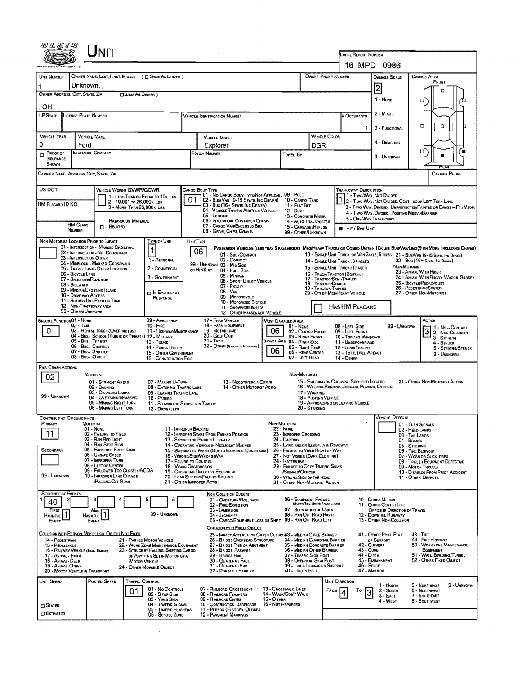| UNIT<br>LOCAL REPORT NUMBER<br>16 MPD 0986<br>OWNER NAME: LAST, FIRST, MIDDLE ( C SAME AS DRIVER )<br>OWNER PHONE NUMBER<br>DAMAGE AREA<br>UNIT NUMBER<br><b>DAMAGE SCALE</b><br>FRONT<br>Unknown,,<br>1<br>2<br>n<br>OWNER ADDRESS: CITY, STATE, ZIP<br><b>CISAME AS DRIVER</b> )<br>1 - NONE<br>o<br>OH<br>2 - MINOR<br><b>LP STATE</b><br>LICENSE PLATE NUMBER<br># Occupants<br><b>VEHICLE IDENTIFICATION NUMBER</b><br>n<br>г<br>3 - FUNCTIONAL<br><b>VEHICLE YEAR</b><br>VEHICLE COLOR<br><b>VEHICLE MAKE</b><br><b>VEHICLE MODEL</b><br>4 - DISABLING<br>0<br>Ford<br>Explorer<br>DGR<br>o<br>INSURANCE COMPANY<br>Proof of<br>POLICY NUMBER<br>$\Box$<br>Toweo By<br>9 - UNKNOWN<br><b>INSURANCE</b><br>SHOWN<br>CARRIER NAME, ADORESS, CITY, STATE, ZIP<br>CARRIER PHONE<br>US DOT<br>VEHICLE WEIGHT GVWR/GCWR<br>Cargo Body Type<br>Trafficway Description<br>01 - No CARGO BODY TYPE/NOT APPLICABL 09 - POLE<br>1 - Two-Way, Not Divideo<br>1 - LESS THAN OR EQUAL TO 10K LBS<br>01<br>02 - Bus/Van (9-15 Seats, Inc Driver) 10 - Cargo Tank<br>2 - Two-WAY, NOT DIMDED, CONTINUOUS LEFT TURN LANE<br>2 - 10,001 to 26,000x Lss<br>HM PLACARD ID NO.<br>03 - Bus (16+ SEATS, INC DRIVER)<br>11 - FLAT BED |  |  |  |  |  |  |  |  |  |  |  |  |
|----------------------------------------------------------------------------------------------------------------------------------------------------------------------------------------------------------------------------------------------------------------------------------------------------------------------------------------------------------------------------------------------------------------------------------------------------------------------------------------------------------------------------------------------------------------------------------------------------------------------------------------------------------------------------------------------------------------------------------------------------------------------------------------------------------------------------------------------------------------------------------------------------------------------------------------------------------------------------------------------------------------------------------------------------------------------------------------------------------------------------------------------------------------------------------------------------------------------|--|--|--|--|--|--|--|--|--|--|--|--|
|                                                                                                                                                                                                                                                                                                                                                                                                                                                                                                                                                                                                                                                                                                                                                                                                                                                                                                                                                                                                                                                                                                                                                                                                                      |  |  |  |  |  |  |  |  |  |  |  |  |
|                                                                                                                                                                                                                                                                                                                                                                                                                                                                                                                                                                                                                                                                                                                                                                                                                                                                                                                                                                                                                                                                                                                                                                                                                      |  |  |  |  |  |  |  |  |  |  |  |  |
|                                                                                                                                                                                                                                                                                                                                                                                                                                                                                                                                                                                                                                                                                                                                                                                                                                                                                                                                                                                                                                                                                                                                                                                                                      |  |  |  |  |  |  |  |  |  |  |  |  |
|                                                                                                                                                                                                                                                                                                                                                                                                                                                                                                                                                                                                                                                                                                                                                                                                                                                                                                                                                                                                                                                                                                                                                                                                                      |  |  |  |  |  |  |  |  |  |  |  |  |
|                                                                                                                                                                                                                                                                                                                                                                                                                                                                                                                                                                                                                                                                                                                                                                                                                                                                                                                                                                                                                                                                                                                                                                                                                      |  |  |  |  |  |  |  |  |  |  |  |  |
|                                                                                                                                                                                                                                                                                                                                                                                                                                                                                                                                                                                                                                                                                                                                                                                                                                                                                                                                                                                                                                                                                                                                                                                                                      |  |  |  |  |  |  |  |  |  |  |  |  |
|                                                                                                                                                                                                                                                                                                                                                                                                                                                                                                                                                                                                                                                                                                                                                                                                                                                                                                                                                                                                                                                                                                                                                                                                                      |  |  |  |  |  |  |  |  |  |  |  |  |
|                                                                                                                                                                                                                                                                                                                                                                                                                                                                                                                                                                                                                                                                                                                                                                                                                                                                                                                                                                                                                                                                                                                                                                                                                      |  |  |  |  |  |  |  |  |  |  |  |  |
|                                                                                                                                                                                                                                                                                                                                                                                                                                                                                                                                                                                                                                                                                                                                                                                                                                                                                                                                                                                                                                                                                                                                                                                                                      |  |  |  |  |  |  |  |  |  |  |  |  |
|                                                                                                                                                                                                                                                                                                                                                                                                                                                                                                                                                                                                                                                                                                                                                                                                                                                                                                                                                                                                                                                                                                                                                                                                                      |  |  |  |  |  |  |  |  |  |  |  |  |
|                                                                                                                                                                                                                                                                                                                                                                                                                                                                                                                                                                                                                                                                                                                                                                                                                                                                                                                                                                                                                                                                                                                                                                                                                      |  |  |  |  |  |  |  |  |  |  |  |  |
| 3 - MORE THAN 26,000K LBS.<br>3 - Two-Way, Divided, Unprotected (Painted or Grass >4Ft.) Media                                                                                                                                                                                                                                                                                                                                                                                                                                                                                                                                                                                                                                                                                                                                                                                                                                                                                                                                                                                                                                                                                                                       |  |  |  |  |  |  |  |  |  |  |  |  |
| 04 - VEHICLE TOWING ANOTHER VEHICLE<br>12 - Dump<br>4 - TWO-WAY, DIVIDED, POSITIVE MEDIANBARRIER<br>05 - Logging<br>13 - CONCRETE MIXER<br>5 - ONE-WAY TRAFFICWAY                                                                                                                                                                                                                                                                                                                                                                                                                                                                                                                                                                                                                                                                                                                                                                                                                                                                                                                                                                                                                                                    |  |  |  |  |  |  |  |  |  |  |  |  |
| 06 - INTERMODAL CONTAINER CHASIS<br>HAZARDOUS MATERIAL<br>14 - AUTO TRANSPORTER<br><b>HM CLASS</b><br>07 - CARGO VAN/ENCLOSED BDX<br><b>CI RELATED</b><br>15 - GARBAGE /REFUSE<br><b>HIT / SKIP UNIT</b><br><b><i><u>NUMBER</u></i></b><br>08 - GRAIN, CHIPS, GRAVEL                                                                                                                                                                                                                                                                                                                                                                                                                                                                                                                                                                                                                                                                                                                                                                                                                                                                                                                                                 |  |  |  |  |  |  |  |  |  |  |  |  |
| 99 - OTHER/UNKNOWN<br>NON-MOTORIST LOCATION PRIOR TO IMPACT<br>Type of Use<br>UNIT TYPE                                                                                                                                                                                                                                                                                                                                                                                                                                                                                                                                                                                                                                                                                                                                                                                                                                                                                                                                                                                                                                                                                                                              |  |  |  |  |  |  |  |  |  |  |  |  |
| 01 - INTERSECTION - MARKED CROSSWAL<br>PASSENGER VEHICLES (LESS THAN 9 PASSENGERS MEDIMEAVY TRUCKS OR COMBO UNITS > 10K LES BUS/VAN/LIMO(9 OR MORE INCLUDING DRIVER)<br>06<br>02 - INTERSECTION NO CROSSWALK<br>01 - Sue-COMPACT<br>13 - SINGLE UNIT TRUCK OR VAN ZAXLE, 6 TIRES 21 - BUS/VAN (9-15 SEATS INC DRIVER)                                                                                                                                                                                                                                                                                                                                                                                                                                                                                                                                                                                                                                                                                                                                                                                                                                                                                                |  |  |  |  |  |  |  |  |  |  |  |  |
| 03 - INTERSECTION OTHER<br>02 COMPACT<br>1 - PERSONAL<br>22 - Bus (16+ SEATS INC DIRKER)<br>14 - SINGLE UNIT TRUCK: 3+ AXLES<br>04 - MIDBLOCK - MARKED CROSSWALK<br>99 - UNKNOWN 03 - MHD SIZE<br>Non-Motorust<br>15 - SINGLE UNIT TRUCK / TRAILER<br>2 - COMMERCIAL<br>05 - TRAVEL LANE - OTHER LOCATION                                                                                                                                                                                                                                                                                                                                                                                                                                                                                                                                                                                                                                                                                                                                                                                                                                                                                                            |  |  |  |  |  |  |  |  |  |  |  |  |
| OR HIT/SKIP<br>04 - FULL SIZE<br>23 - ANIMAL WITH RIDER<br>06 - BICYCLE LANE<br>16 - TRUCK/TRACTOR (BOBTAIL)<br>05 - MINIVAN<br>3 - GOVERNMENT<br>24 - ANIMAL WITH BUGGY, WAGON, SURREY<br>17 - TRACTOR/SEMI-TRAILER<br>07 - SHOULDER/ROADSIDE<br>06 - Sport UTILITY VEHICLE                                                                                                                                                                                                                                                                                                                                                                                                                                                                                                                                                                                                                                                                                                                                                                                                                                                                                                                                         |  |  |  |  |  |  |  |  |  |  |  |  |
| 25 - BICYCLE/PEDACYCLIST<br>18 - TRACTOR/DOUBLE<br>08 - Sidewalk<br>07 - Pickup<br>26 - PEDESTRIAN/SKATER<br>19 - THACTOR/TRIPLES<br>09 - MEDIAN/CROSSING ISLAND<br>08 - Van<br><b>D</b> IN EMERGENCY<br>20 - OTHER MED/HEAVY VEHICLE<br>27 - OTHER NON-MOTORIST                                                                                                                                                                                                                                                                                                                                                                                                                                                                                                                                                                                                                                                                                                                                                                                                                                                                                                                                                     |  |  |  |  |  |  |  |  |  |  |  |  |
| 10 - DRIVE WAY ACCESS<br>09 MOTORCYCLE<br>RESPONSE<br>11 - SHAREO-USE PATH OR TRAIL<br>10 - Motorized Bicycle                                                                                                                                                                                                                                                                                                                                                                                                                                                                                                                                                                                                                                                                                                                                                                                                                                                                                                                                                                                                                                                                                                        |  |  |  |  |  |  |  |  |  |  |  |  |
| 12 - NON-TRAFFICWAY AREA<br>HAS HM PLACARD<br>11 - SNOWMOBILE/ATV<br>99 - OTHER/UNKNOWN<br>12 - OTHER PASSENGER VEHICLE                                                                                                                                                                                                                                                                                                                                                                                                                                                                                                                                                                                                                                                                                                                                                                                                                                                                                                                                                                                                                                                                                              |  |  |  |  |  |  |  |  |  |  |  |  |
| SPECIAL FUNCTION 01 - NONE<br>09 - AMBULANCE<br>17 - FARM VEHICLE<br>ACTION<br>MOST DAMAGED AREA<br>18 - FARM EQUIPMENT<br>02 - Taxi<br>$10 -$ Fine<br>08 - LEFT SIDE<br>99 - Unknown<br>$01 - None$<br>1 1 - Non-Contact<br>06<br>01<br>03 - RENTAL TRUCK (OVER 10K LBS)<br>19 - Мотовноме<br>11 - HIGHWAY/MAINTENANCE                                                                                                                                                                                                                                                                                                                                                                                                                                                                                                                                                                                                                                                                                                                                                                                                                                                                                              |  |  |  |  |  |  |  |  |  |  |  |  |
| 3 2 - NON-COLLISION<br>02 - CENTER FRONT<br>09 - LEFT FRONT<br>20 - Golf CART<br>04 - Bus - School (Public or Private) 12 - Military<br>03 - Right Front<br>10 - TOP AND WINDOWS<br>05 - Bus - Transit<br>$21 - T$ RAIN<br><b>IMPACT ARE 04 - RIGHT SIDE</b><br>13 - PoLice<br>11 - UNDERCARRIAGE<br>$4 -$ Struck                                                                                                                                                                                                                                                                                                                                                                                                                                                                                                                                                                                                                                                                                                                                                                                                                                                                                                    |  |  |  |  |  |  |  |  |  |  |  |  |
| 22 - OTHER (EXPLANIN NARRATIVE)<br>06 - Bus - Charter<br>05 - RIGHT REAR<br>14 - Pusuc Unury<br>12 - LOAD/TRAILER<br>5 - STRIKING/STRUCK<br>06<br>07 - Bus - SHUTTLE<br>06 - REAR CENTER<br>13 - TOTAL (ALL AREAS)<br>15 - OTHER GOVERNMENT<br>9 - UNKNOWN                                                                                                                                                                                                                                                                                                                                                                                                                                                                                                                                                                                                                                                                                                                                                                                                                                                                                                                                                           |  |  |  |  |  |  |  |  |  |  |  |  |
| 08 - Bus. OTHER<br>07 - LEFT REAR<br>14 - Отнен<br>16 - CONSTRUCTION EOIP.<br>PRE-CRASH ACTIONS                                                                                                                                                                                                                                                                                                                                                                                                                                                                                                                                                                                                                                                                                                                                                                                                                                                                                                                                                                                                                                                                                                                      |  |  |  |  |  |  |  |  |  |  |  |  |
| NON-MOTORIST<br><b>MOTORIST</b><br>02                                                                                                                                                                                                                                                                                                                                                                                                                                                                                                                                                                                                                                                                                                                                                                                                                                                                                                                                                                                                                                                                                                                                                                                |  |  |  |  |  |  |  |  |  |  |  |  |
| 15 - ENTERING OR CROSSING SPECIFIED LOCATIO<br>21 - OTHER NON-MOTORIST ACTION<br>01 - STRAIGHT AHEAD<br>07 - MAKING U-TURN<br>13 - NEGOTIATING A CURVE<br>16 - WALKING, RUNNING, JOGGING, PLAYING, CYCLING<br>08 - ENTERING TRAFFIC LANE<br>14 - OTHER MOTORIST ACTIO<br>02 - BACKING<br>03 - Changing Lanes<br>17 - WORKING<br>09 - LEAVING TRAFFIC LANE                                                                                                                                                                                                                                                                                                                                                                                                                                                                                                                                                                                                                                                                                                                                                                                                                                                            |  |  |  |  |  |  |  |  |  |  |  |  |
| 99 - UNRNOWN<br>04 - OVERTAKING/PASSING<br>18 - Pushing Vehicle<br>10 - PARKEO<br>05 - MAKING RIGHT TURN<br>19 - APPROACHING OR LEAVING VEHICLE<br>11 - SLOWING OR STOPPED IN TRAFFIC                                                                                                                                                                                                                                                                                                                                                                                                                                                                                                                                                                                                                                                                                                                                                                                                                                                                                                                                                                                                                                |  |  |  |  |  |  |  |  |  |  |  |  |
| 06 - MAKING LEFT TURN<br>20 - Standing<br>12 - DRIVERLESS<br><b>VEHICLE DEFECTS</b>                                                                                                                                                                                                                                                                                                                                                                                                                                                                                                                                                                                                                                                                                                                                                                                                                                                                                                                                                                                                                                                                                                                                  |  |  |  |  |  |  |  |  |  |  |  |  |
| <b>CONTRIBUTING CIRCUMSTANCE</b><br>Prmary<br>MOTORIST<br>Non-Motorist<br>01 - TURN SIGNALS<br>01 - NONE<br>11 - IMPROPER BACKING<br>22 - None<br>02 - HEAD LAMPS                                                                                                                                                                                                                                                                                                                                                                                                                                                                                                                                                                                                                                                                                                                                                                                                                                                                                                                                                                                                                                                    |  |  |  |  |  |  |  |  |  |  |  |  |
| 11<br>02 - FAILURE TO YIELD<br>12 - IMPROPER START FROM PARKED POSITION<br>23 - IMPROPER CROSSING<br>03 - TAIL LAMPS<br>03 - RAN RED LIGHT<br>13 - STOPPED OR PARKED ILLEGALLY<br>24 - DARTING<br>04 - BRAKES                                                                                                                                                                                                                                                                                                                                                                                                                                                                                                                                                                                                                                                                                                                                                                                                                                                                                                                                                                                                        |  |  |  |  |  |  |  |  |  |  |  |  |
| 04 - RAN STOP SIGN<br>25 - LYING ANDROR ILLEGALLY IN ROADWAY<br>14 - OPERATING VEHICLE IN NEGLIGENT MANNER<br>05 - STEERING<br>05 - Exceeded Speed Limit<br><b>SECONDARY</b><br>15 - Swering to Avoid (Due to External Conditions)<br>26 - FALURE TO YIELD RIGHT OF WAY<br>06 - TIRE BLOWOUT                                                                                                                                                                                                                                                                                                                                                                                                                                                                                                                                                                                                                                                                                                                                                                                                                                                                                                                         |  |  |  |  |  |  |  |  |  |  |  |  |
| 06 - UNSAFE SPEED<br>16 - WRONG SIDE/WRONG WAY<br>27 - Not Visible (DARK CLOTHING)<br>07 - WORN OR SLICK TIRES<br>07 - IMPROPER TURN<br>17 - FALURE TO CONTROL<br>28 - INATTENTIVE<br>08 - TRAILER EGUIPMENT DEFECTIVE<br>08 - LEFT OF CENTER<br>29 - FAILURE TO OBEY TRAFFIC SIGNS<br>18 - VISION OBSTRUCTION<br>09 - MOTOR TROUBLE                                                                                                                                                                                                                                                                                                                                                                                                                                                                                                                                                                                                                                                                                                                                                                                                                                                                                 |  |  |  |  |  |  |  |  |  |  |  |  |
| 09 - Followed Too Closely/ACDA<br>19 - OPERATING DEFECTIVE EQUIPMENT<br>/SIGNALS/OFFICER<br>10 - DISABLEO FROM PRIOR ACCIDENT<br>99 - Unknown<br>10 - IMPROPER LANE CHANGE<br>20 - LOAD SHIFTING/FALLING/SPILLING<br>30 - WRONG SIDE OF THE ROAD<br>11 - OTHER DEFECTS                                                                                                                                                                                                                                                                                                                                                                                                                                                                                                                                                                                                                                                                                                                                                                                                                                                                                                                                               |  |  |  |  |  |  |  |  |  |  |  |  |
| <b>PASSING OFF ROAD</b><br>21 - OTHER IMPROPER ACTION<br>31 - OTHER NON-MOTORIST ACTION                                                                                                                                                                                                                                                                                                                                                                                                                                                                                                                                                                                                                                                                                                                                                                                                                                                                                                                                                                                                                                                                                                                              |  |  |  |  |  |  |  |  |  |  |  |  |
| <b>SEQUENCE OF EVENTS</b><br><b>NON-COLLISION EVENTS</b><br>06 - EQUIPMENT FAILURE<br>01 - OVERTURN/ROLLOVER<br>10 - Cross Median<br>5<br>6<br>2<br>40<br>(BLOWN TIRE, BRAKE FARURE, ETC)                                                                                                                                                                                                                                                                                                                                                                                                                                                                                                                                                                                                                                                                                                                                                                                                                                                                                                                                                                                                                            |  |  |  |  |  |  |  |  |  |  |  |  |
| 02 - FIRE/EXPLOSION<br>11 - Cross CENTER LINE<br>07 - SEPARATION OF UNITS<br>03 - IMMERSION<br>OPPOSITE DIRECTION OF TRAVEL<br>FIRST<br>Most<br>1<br>99 - UNKNOWN<br>08 - RAN OFF ROAD RIGHT<br>12 - Downhill Runaway<br>04 - JACKKNIFE<br><b>HARMFUL</b><br>HARMFUL                                                                                                                                                                                                                                                                                                                                                                                                                                                                                                                                                                                                                                                                                                                                                                                                                                                                                                                                                 |  |  |  |  |  |  |  |  |  |  |  |  |
| 05 - CARGO/EQUIPMENT LOSS OR SHIFT 09 - RAN OFF ROAD LEFT<br>13 - OTHER NON-COLUSION<br>EVENT<br>Event<br>COLLISION WITH FIXED, OBJECT                                                                                                                                                                                                                                                                                                                                                                                                                                                                                                                                                                                                                                                                                                                                                                                                                                                                                                                                                                                                                                                                               |  |  |  |  |  |  |  |  |  |  |  |  |
| COLLISION WITH PERSON, VEHICLE OR OBJECT NOT FIXED<br>41 - OTHER POST, POLE<br><b>48 - TREE</b><br>25 - IMPACT ATTENUATOR/CRASH CUSHION33 - MEDIAN CABLE BARRIER<br>49 - FIRE HYDRANT<br>21 - PARKED MOTOR VEHICLE<br>34 - MEDIAN GUARDRAIL BARRIER<br>14 - PEDESTRIAN<br>26 - BRIDGE OVERHEAD STRUCTURE<br>OR SUPPORT                                                                                                                                                                                                                                                                                                                                                                                                                                                                                                                                                                                                                                                                                                                                                                                                                                                                                               |  |  |  |  |  |  |  |  |  |  |  |  |
| 22 - WORK ZONE MAINTENANCE EQUIPMENT<br>27 - BRIDGE PIER OR ABUTMENT<br>35 - MEDIAN CONCRETE BARRIER<br>42 - CULVERT<br>50 - WORK ZONE MAINTENANCE<br>15 - PEDALCYCLE<br>43 - Cuns<br>36 - MEDIAN OTHER BARRIER<br>16 - RAILWAY VEHICLE (TRADA, ENGINE)<br>23 - STRUCK BY FALLING, SHIFTING CARGO<br>28 - BRIDGE PARAPET<br>EQUIPMENT                                                                                                                                                                                                                                                                                                                                                                                                                                                                                                                                                                                                                                                                                                                                                                                                                                                                                |  |  |  |  |  |  |  |  |  |  |  |  |
| 51 - WALL, BUILDING, TUNNEL<br>37 - TRAFFIC SIGN POST<br>44 - Опсн<br>17 - ANIMAL - FARM<br>29 - Bridge Rail<br>OR ANYTHING SET IN MOTION BY A<br>52 - OTHER FIXED OBJECT<br>45 - Embankment<br>18 - Animal - Deer<br>30 - GUARDRAIL FACE<br>38 - Overhead Sign Post<br><b>MOTOR VEHICLE</b><br>39 - LIGHT/LUMINARIES SUPPORT<br>46 - Fence<br>19 - Animal -Other<br>31 - GUARDRAILEND                                                                                                                                                                                                                                                                                                                                                                                                                                                                                                                                                                                                                                                                                                                                                                                                                               |  |  |  |  |  |  |  |  |  |  |  |  |
| 24 - OTHER MOVABLE OBJECT<br>47 - MAILBOX<br>20 - MOTOR VEHICLE IN TRANSPORT<br>32 - PORTABLE BARRIER<br>40 - Unury Pole                                                                                                                                                                                                                                                                                                                                                                                                                                                                                                                                                                                                                                                                                                                                                                                                                                                                                                                                                                                                                                                                                             |  |  |  |  |  |  |  |  |  |  |  |  |
| POSTED SPEED<br><b>TRAFFIC CONTROL</b><br>UNIT DIRECTION<br>UNIT SPEED<br>5 - NDRTHEAST<br>9 - Unknown<br>1 - Noam<br>07 - RAILROAD CROSSBUCKS<br>13 - CROSSWALK LINES<br>01 - No CONTROLS<br>6 - NORTHWEST<br>FROM<br>То<br>$2 -$ South<br>01                                                                                                                                                                                                                                                                                                                                                                                                                                                                                                                                                                                                                                                                                                                                                                                                                                                                                                                                                                       |  |  |  |  |  |  |  |  |  |  |  |  |
| 3<br>14 - WALK/DON'T WALK<br>02 - S TOP SIGN<br>08 - RAILROAD FLASHERS<br>$3 - East$<br>7 - SOUTHEAST<br>15 - О тнея<br>03 - YIELD SIGN<br>09 - Railroad Gates<br>4 - WEST<br>8 - SOUTHWEST                                                                                                                                                                                                                                                                                                                                                                                                                                                                                                                                                                                                                                                                                                                                                                                                                                                                                                                                                                                                                          |  |  |  |  |  |  |  |  |  |  |  |  |
| 10 - COSTRUCTION BARRICADE 16 - NOT REPORTED<br>04 - TRAFFIC SIGNAL<br>$\square$ Stated<br>05 - TRAFFIC FLASHERS<br>11 - PERSON (FLAGGER, OFFICER<br><b>ESTIMATED</b><br>06 - School Zone<br><b>12 - PAVEMENT MARKINGS</b>                                                                                                                                                                                                                                                                                                                                                                                                                                                                                                                                                                                                                                                                                                                                                                                                                                                                                                                                                                                           |  |  |  |  |  |  |  |  |  |  |  |  |

 $\mathcal{L}^{\text{max}}_{\text{max}}$  ,  $\mathcal{L}^{\text{max}}_{\text{max}}$ 

 $\sim$   $\sim$